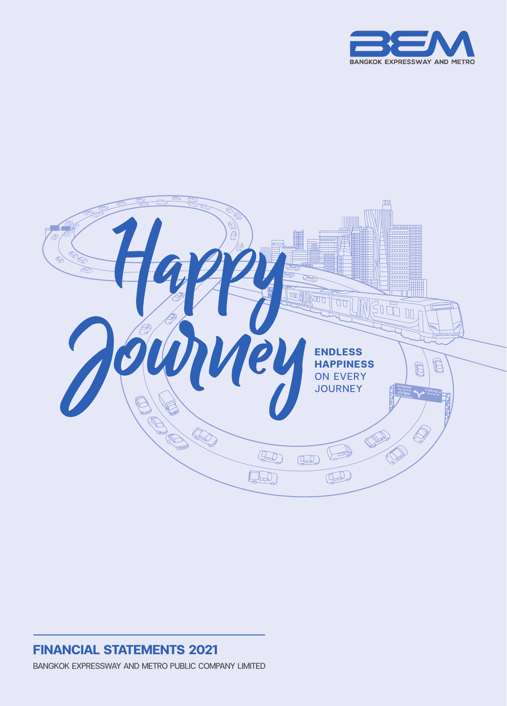



### **FINANCIAL STATEMENTS 2021** BANGKOK EXPRESSWAY AND METRO PUBLIC COMPANY LIMITED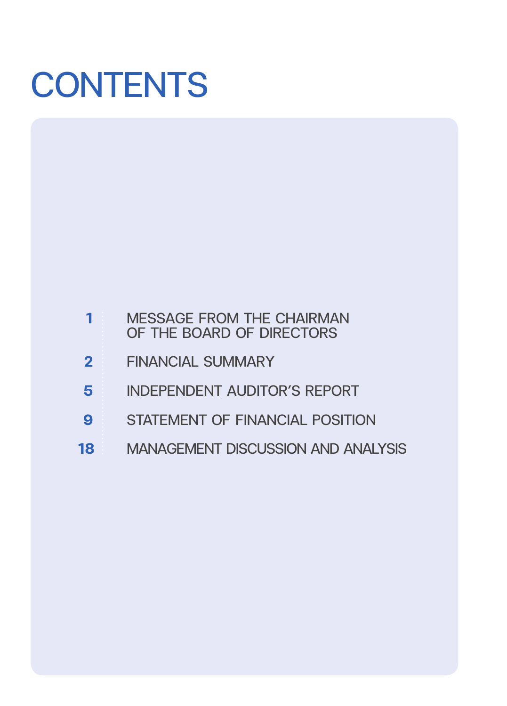# **CONTENTS**

|    | <b>MESSAGE FROM THE CHAIRMAN</b><br>OF THE BOARD OF DIRECTORS |
|----|---------------------------------------------------------------|
|    | <b>FINANCIAL SUMMARY</b>                                      |
|    | <b>INDEPENDENT AUDITOR'S REPORT</b>                           |
| 9  | <b>STATEMENT OF FINANCIAL POSITION</b>                        |
| 18 | <b>MANAGEMENT DISCUSSION AND ANALYSIS</b>                     |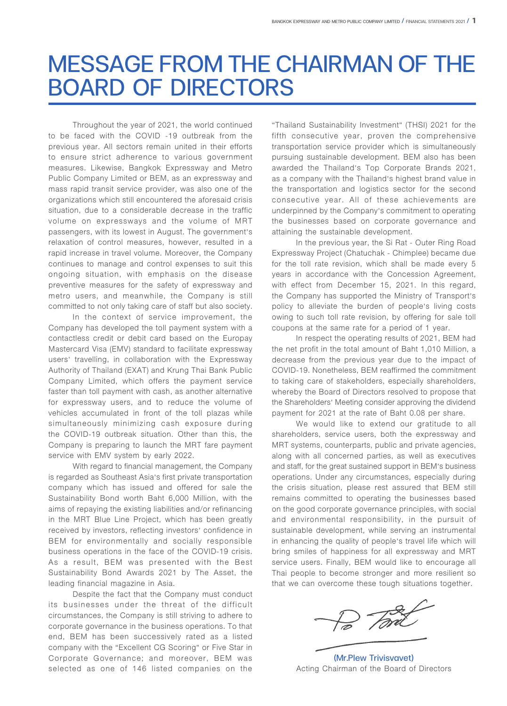# MESSAGE FROM THE CHAIRMAN OF THE BOARD OF DIRECTORS

Throughout the year of 2021, the world continued to be faced with the COVID -19 outbreak from the previous year. All sectors remain united in their efforts to ensure strict adherence to various government measures. Likewise, Bangkok Expressway and Metro Public Company Limited or BEM, as an expressway and mass rapid transit service provider, was also one of the organizations which still encountered the aforesaid crisis situation, due to a considerable decrease in the traffic volume on expressways and the volume of MRT passengers, with its lowest in August. The government's relaxation of control measures, however, resulted in a rapid increase in travel volume. Moreover, the Company continues to manage and control expenses to suit this ongoing situation, with emphasis on the disease preventive measures for the safety of expressway and metro users, and meanwhile, the Company is still committed to not only taking care of staff but also society.

In the context of service improvement, the Company has developed the toll payment system with a contactless credit or debit card based on the Europay Mastercard Visa (EMV) standard to facilitate expressway users' travelling, in collaboration with the Expressway Authority of Thailand (EXAT) and Krung Thai Bank Public Company Limited, which offers the payment service faster than toll payment with cash, as another alternative for expressway users, and to reduce the volume of vehicles accumulated in front of the toll plazas while simultaneously minimizing cash exposure during the COVID-19 outbreak situation. Other than this, the Company is preparing to launch the MRT fare payment service with EMV system by early 2022.

With regard to financial management, the Company is regarded as Southeast Asia's first private transportation company which has issued and offered for sale the Sustainability Bond worth Baht 6,000 Million, with the aims of repaying the existing liabilities and/or refinancing in the MRT Blue Line Project, which has been greatly received by investors, reflecting investors' confidence in BEM for environmentally and socially responsible business operations in the face of the COVID-19 crisis. As a result, BEM was presented with the Best Sustainability Bond Awards 2021 by The Asset, the leading financial magazine in Asia.

Despite the fact that the Company must conduct its businesses under the threat of the difficult circumstances, the Company is still striving to adhere to corporate governance in the business operations. To that end, BEM has been successively rated as a listed company with the "Excellent CG Scoring" or Five Star in Corporate Governance; and moreover, BEM was selected as one of 146 listed companies on the "Thailand Sustainability Investment" (THSI) 2021 for the fifth consecutive year, proven the comprehensive transportation service provider which is simultaneously pursuing sustainable development. BEM also has been awarded the Thailand's Top Corporate Brands 2021, as a company with the Thailand's highest brand value in the transportation and logistics sector for the second consecutive year. All of these achievements are underpinned by the Company's commitment to operating the businesses based on corporate governance and attaining the sustainable development.

In the previous year, the Si Rat - Outer Ring Road Expressway Project (Chatuchak - Chimplee) became due for the toll rate revision, which shall be made every 5 years in accordance with the Concession Agreement, with effect from December 15, 2021. In this regard, the Company has supported the Ministry of Transport's policy to alleviate the burden of people's living costs owing to such toll rate revision, by offering for sale toll coupons at the same rate for a period of 1 year.

In respect the operating results of 2021, BEM had the net profit in the total amount of Baht 1,010 Million, a decrease from the previous year due to the impact of COVID-19. Nonetheless, BEM reaffirmed the commitment to taking care of stakeholders, especially shareholders, whereby the Board of Directors resolved to propose that the Shareholders' Meeting consider approving the dividend payment for 2021 at the rate of Baht 0.08 per share.

We would like to extend our gratitude to all shareholders, service users, both the expressway and MRT systems, counterparts, public and private agencies, along with all concerned parties, as well as executives and staff, for the great sustained support in BEM's business operations. Under any circumstances, especially during the crisis situation, please rest assured that BEM still remains committed to operating the businesses based on the good corporate governance principles, with social and environmental responsibility, in the pursuit of sustainable development, while serving an instrumental in enhancing the quality of people's travel life which will bring smiles of happiness for all expressway and MRT service users. Finally, BEM would like to encourage all Thai people to become stronger and more resilient so that we can overcome these tough situations together.

(Mr.Plew Trivisvavet) Acting Chairman of the Board of Directors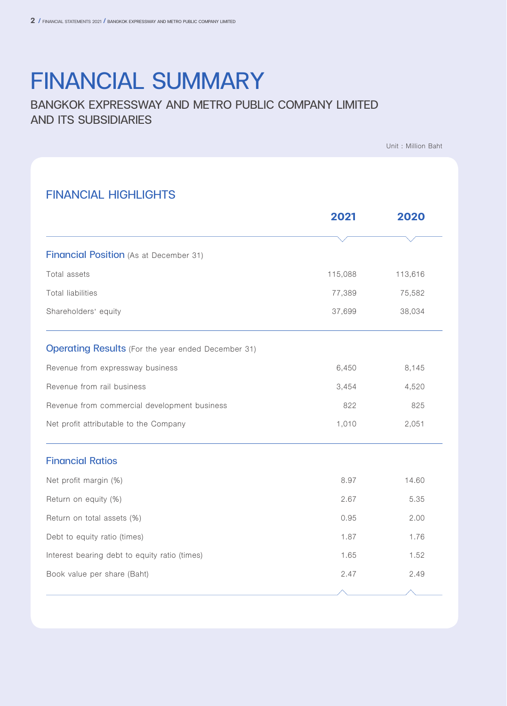# FINANCIAL SUMMARY

### BANGKOK EXPRESSWAY AND METRO PUBLIC COMPANY LIMITED AND ITS SUBSIDIARIES

Unit : Million Baht

### FINANCIAL HIGHLIGHTS

|                                                           | 2021    | 2020               |
|-----------------------------------------------------------|---------|--------------------|
|                                                           |         |                    |
| Financial Position (As at December 31)                    |         |                    |
| Total assets                                              | 115,088 | 113,616            |
| <b>Total liabilities</b>                                  | 77,389  | 75,582             |
| Shareholders' equity                                      | 37,699  | 38,034             |
| <b>Operating Results</b> (For the year ended December 31) |         |                    |
| Revenue from expressway business                          | 6,450   | 8,145              |
| Revenue from rail business                                | 3,454   | 4,520              |
| Revenue from commercial development business              | 822     | 825                |
| Net profit attributable to the Company                    | 1,010   | 2,051              |
| <b>Financial Ratios</b>                                   |         |                    |
| Net profit margin (%)                                     | 8.97    | 14.60              |
| Return on equity (%)                                      | 2.67    | 5.35               |
| Return on total assets (%)                                | 0.95    | 2.00               |
| Debt to equity ratio (times)                              | 1.87    | 1.76               |
| Interest bearing debt to equity ratio (times)             | 1.65    | 1.52               |
| Book value per share (Baht)                               | 2.47    | 2.49               |
|                                                           |         | $\curvearrowright$ |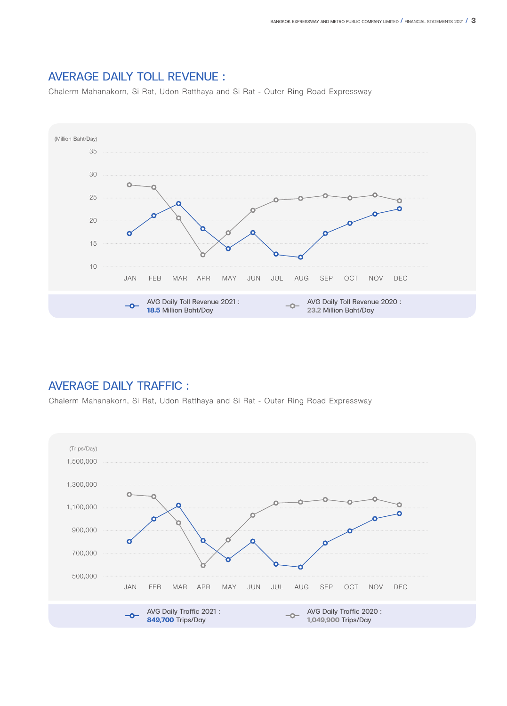

### AVERAGE DAILY TOLL REVENUE :

Chalerm Mahanakorn, Si Rat, Udon Ratthaya and Si Rat - Outer Ring Road Expressway

### AVERAGE DAILY TRAFFIC :

Chalerm Mahanakorn, Si Rat, Udon Ratthaya and Si Rat - Outer Ring Road Expressway

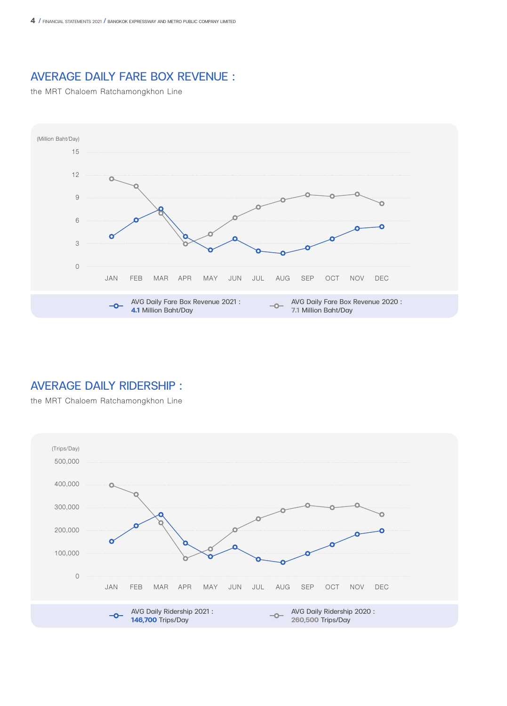### AVERAGE DAILY FARE BOX REVENUE :

the MRT Chaloem Ratchamongkhon Line



### AVERAGE DAILY RIDERSHIP :

the MRT Chaloem Ratchamongkhon Line

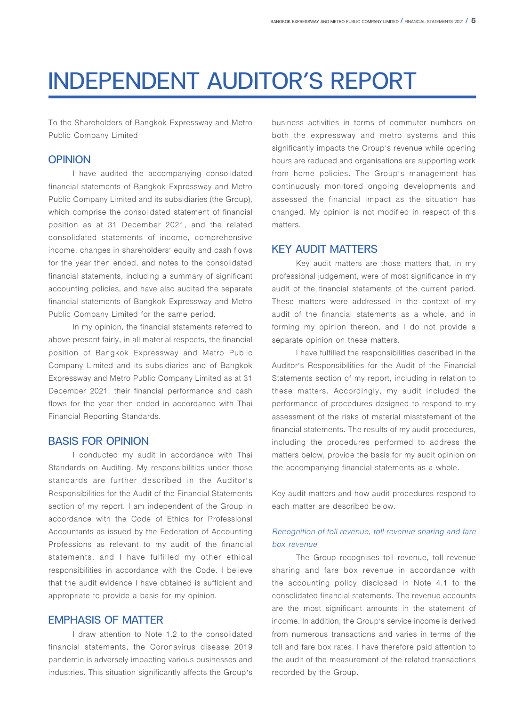# INDEPENDENT AUDITOR'S REPORT

To the Shareholders of Bangkok Expressway and Metro Public Company Limited

### **OPINION**

I have audited the accompanying consolidated financial statements of Bangkok Expressway and Metro Public Company Limited and its subsidiaries (the Group), which comprise the consolidated statement of financial position as at 31 December 2021, and the related consolidated statements of income, comprehensive income, changes in shareholders' equity and cash flows for the year then ended, and notes to the consolidated financial statements, including a summary of significant accounting policies, and have also audited the separate financial statements of Bangkok Expressway and Metro Public Company Limited for the same period.

In my opinion, the financial statements referred to above present fairly, in all material respects, the financial position of Bangkok Expressway and Metro Public Company Limited and its subsidiaries and of Bangkok Expressway and Metro Public Company Limited as at 31 December 2021, their financial performance and cash flows for the year then ended in accordance with Thai Financial Reporting Standards.

### BASIS FOR OPINION

I conducted my audit in accordance with Thai Standards on Auditing. My responsibilities under those standards are further described in the Auditor's Responsibilities for the Audit of the Financial Statements section of my report. I am independent of the Group in accordance with the Code of Ethics for Professional Accountants as issued by the Federation of Accounting Professions as relevant to my audit of the financial statements, and I have fulfilled my other ethical responsibilities in accordance with the Code. I believe that the audit evidence I have obtained is sufficient and appropriate to provide a basis for my opinion.

### EMPHASIS OF MATTER

I draw attention to Note 1.2 to the consolidated financial statements, the Coronavirus disease 2019 pandemic is adversely impacting various businesses and industries. This situation significantly affects the Group's business activities in terms of commuter numbers on both the expressway and metro systems and this significantly impacts the Group's revenue while opening hours are reduced and organisations are supporting work from home policies. The Group's management has continuously monitored ongoing developments and assessed the financial impact as the situation has changed. My opinion is not modified in respect of this matters.

### KEY AUDIT MATTERS

Key audit matters are those matters that, in my professional judgement, were of most significance in my audit of the financial statements of the current period. These matters were addressed in the context of my audit of the financial statements as a whole, and in forming my opinion thereon, and I do not provide a separate opinion on these matters.

I have fulfilled the responsibilities described in the Auditor's Responsibilities for the Audit of the Financial Statements section of my report, including in relation to these matters. Accordingly, my audit included the performance of procedures designed to respond to my assessment of the risks of material misstatement of the financial statements. The results of my audit procedures, including the procedures performed to address the matters below, provide the basis for my audit opinion on the accompanying financial statements as a whole.

Key audit matters and how audit procedures respond to each matter are described below.

### Recognition of toll revenue, toll revenue sharing and fare box revenue

The Group recognises toll revenue, toll revenue sharing and fare box revenue in accordance with the accounting policy disclosed in Note 4.1 to the consolidated financial statements. The revenue accounts are the most significant amounts in the statement of income. In addition, the Group's service income is derived from numerous transactions and varies in terms of the toll and fare box rates. I have therefore paid attention to the audit of the measurement of the related transactions recorded by the Group.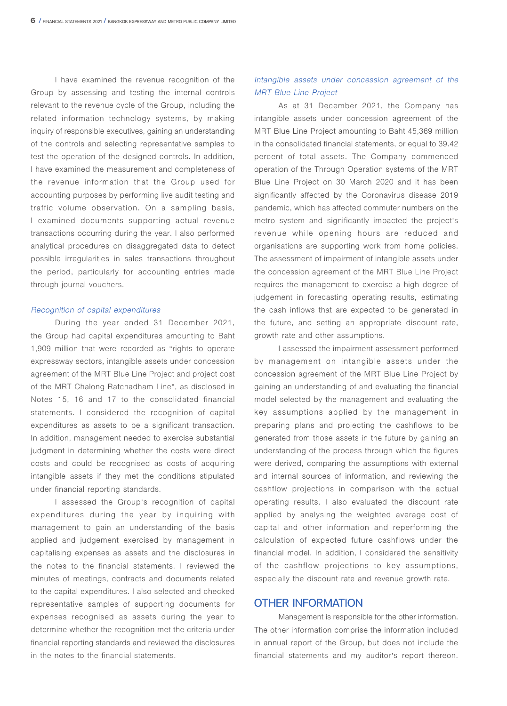I have examined the revenue recognition of the Group by assessing and testing the internal controls relevant to the revenue cycle of the Group, including the related information technology systems, by making inquiry of responsible executives, gaining an understanding of the controls and selecting representative samples to test the operation of the designed controls. In addition, I have examined the measurement and completeness of the revenue information that the Group used for accounting purposes by performing live audit testing and traffic volume observation. On a sampling basis, I examined documents supporting actual revenue transactions occurring during the year. I also performed analytical procedures on disaggregated data to detect possible irregularities in sales transactions throughout the period, particularly for accounting entries made through journal vouchers.

#### Recognition of capital expenditures

During the year ended 31 December 2021, the Group had capital expenditures amounting to Baht 1,909 million that were recorded as "rights to operate expressway sectors, intangible assets under concession agreement of the MRT Blue Line Project and project cost of the MRT Chalong Ratchadham Line", as disclosed in Notes 15, 16 and 17 to the consolidated financial statements. I considered the recognition of capital expenditures as assets to be a significant transaction. In addition, management needed to exercise substantial judgment in determining whether the costs were direct costs and could be recognised as costs of acquiring intangible assets if they met the conditions stipulated under financial reporting standards.

I assessed the Group's recognition of capital expenditures during the year by inquiring with management to gain an understanding of the basis applied and judgement exercised by management in capitalising expenses as assets and the disclosures in the notes to the financial statements. I reviewed the minutes of meetings, contracts and documents related to the capital expenditures. I also selected and checked representative samples of supporting documents for expenses recognised as assets during the year to determine whether the recognition met the criteria under financial reporting standards and reviewed the disclosures in the notes to the financial statements.

### Intangible assets under concession agreement of the MRT Blue Line Project

As at 31 December 2021, the Company has intangible assets under concession agreement of the MRT Blue Line Project amounting to Baht 45,369 million in the consolidated financial statements, or equal to 39.42 percent of total assets. The Company commenced operation of the Through Operation systems of the MRT Blue Line Project on 30 March 2020 and it has been significantly affected by the Coronavirus disease 2019 pandemic, which has affected commuter numbers on the metro system and significantly impacted the project's revenue while opening hours are reduced and organisations are supporting work from home policies. The assessment of impairment of intangible assets under the concession agreement of the MRT Blue Line Project requires the management to exercise a high degree of judgement in forecasting operating results, estimating the cash inflows that are expected to be generated in the future, and setting an appropriate discount rate, growth rate and other assumptions.

I assessed the impairment assessment performed by management on intangible assets under the concession agreement of the MRT Blue Line Project by gaining an understanding of and evaluating the financial model selected by the management and evaluating the key assumptions applied by the management in preparing plans and projecting the cashflows to be generated from those assets in the future by gaining an understanding of the process through which the figures were derived, comparing the assumptions with external and internal sources of information, and reviewing the cashflow projections in comparison with the actual operating results. I also evaluated the discount rate applied by analysing the weighted average cost of capital and other information and reperforming the calculation of expected future cashflows under the financial model. In addition, I considered the sensitivity of the cashflow projections to key assumptions, especially the discount rate and revenue growth rate.

#### OTHER INFORMATION

Management is responsible for the other information. The other information comprise the information included in annual report of the Group, but does not include the financial statements and my auditor's report thereon.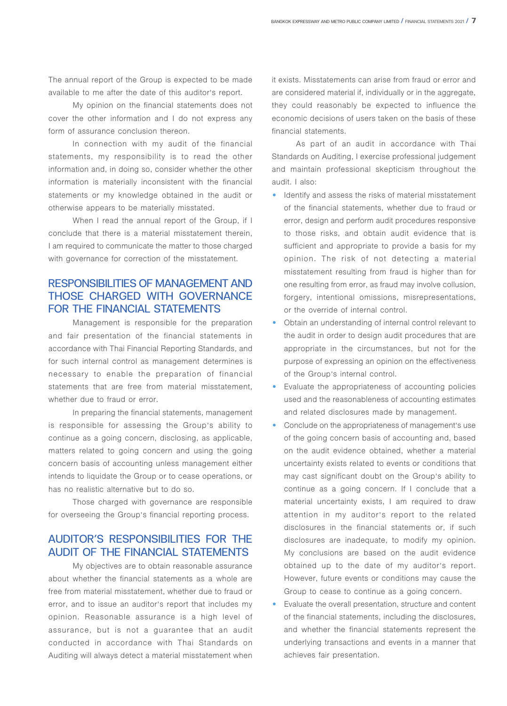The annual report of the Group is expected to be made available to me after the date of this auditor's report.

My opinion on the financial statements does not cover the other information and I do not express any form of assurance conclusion thereon.

In connection with my audit of the financial statements, my responsibility is to read the other information and, in doing so, consider whether the other information is materially inconsistent with the financial statements or my knowledge obtained in the audit or otherwise appears to be materially misstated.

When I read the annual report of the Group, if I conclude that there is a material misstatement therein, I am required to communicate the matter to those charged with governance for correction of the misstatement.

### RESPONSIBILITIES OF MANAGEMENT AND THOSE CHARGED WITH GOVERNANCE FOR THE FINANCIAL STATEMENTS

Management is responsible for the preparation and fair presentation of the financial statements in accordance with Thai Financial Reporting Standards, and for such internal control as management determines is necessary to enable the preparation of financial statements that are free from material misstatement, whether due to fraud or error.

In preparing the financial statements, management is responsible for assessing the Group's ability to continue as a going concern, disclosing, as applicable, matters related to going concern and using the going concern basis of accounting unless management either intends to liquidate the Group or to cease operations, or has no realistic alternative but to do so.

Those charged with governance are responsible for overseeing the Group's financial reporting process.

### AUDITOR'S RESPONSIBILITIES FOR THE AUDIT OF THE FINANCIAL STATEMENTS

My objectives are to obtain reasonable assurance about whether the financial statements as a whole are free from material misstatement, whether due to fraud or error, and to issue an auditor's report that includes my opinion. Reasonable assurance is a high level of assurance, but is not a guarantee that an audit conducted in accordance with Thai Standards on Auditing will always detect a material misstatement when it exists. Misstatements can arise from fraud or error and are considered material if, individually or in the aggregate, they could reasonably be expected to influence the economic decisions of users taken on the basis of these financial statements.

As part of an audit in accordance with Thai Standards on Auditing, I exercise professional judgement and maintain professional skepticism throughout the audit. I also:

- Identify and assess the risks of material misstatement of the financial statements, whether due to fraud or error, design and perform audit procedures responsive to those risks, and obtain audit evidence that is sufficient and appropriate to provide a basis for my opinion. The risk of not detecting a material misstatement resulting from fraud is higher than for one resulting from error, as fraud may involve collusion, forgery, intentional omissions, misrepresentations, or the override of internal control.
- Obtain an understanding of internal control relevant to the audit in order to design audit procedures that are appropriate in the circumstances, but not for the purpose of expressing an opinion on the effectiveness of the Group's internal control.
- Evaluate the appropriateness of accounting policies used and the reasonableness of accounting estimates and related disclosures made by management.
- Conclude on the appropriateness of management's use of the going concern basis of accounting and, based on the audit evidence obtained, whether a material uncertainty exists related to events or conditions that may cast significant doubt on the Group's ability to continue as a going concern. If I conclude that a material uncertainty exists, I am required to draw attention in my auditor's report to the related disclosures in the financial statements or, if such disclosures are inadequate, to modify my opinion. My conclusions are based on the audit evidence obtained up to the date of my auditor's report. However, future events or conditions may cause the Group to cease to continue as a going concern.
- Evaluate the overall presentation, structure and content of the financial statements, including the disclosures, and whether the financial statements represent the underlying transactions and events in a manner that achieves fair presentation.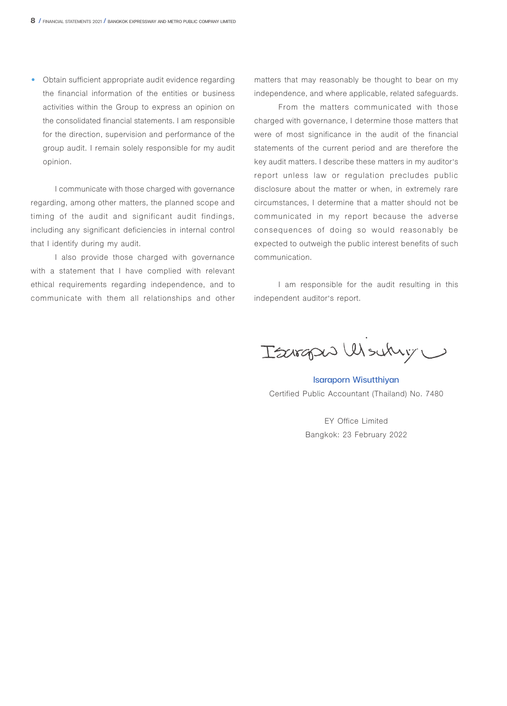• Obtain sufficient appropriate audit evidence regarding the financial information of the entities or business activities within the Group to express an opinion on the consolidated financial statements. I am responsible for the direction, supervision and performance of the group audit. I remain solely responsible for my audit opinion.

I communicate with those charged with governance regarding, among other matters, the planned scope and timing of the audit and significant audit findings, including any significant deficiencies in internal control that I identify during my audit.

I also provide those charged with governance with a statement that I have complied with relevant ethical requirements regarding independence, and to communicate with them all relationships and other matters that may reasonably be thought to bear on my independence, and where applicable, related safeguards.

From the matters communicated with those charged with governance, I determine those matters that were of most significance in the audit of the financial statements of the current period and are therefore the key audit matters. I describe these matters in my auditor's report unless law or regulation precludes public disclosure about the matter or when, in extremely rare circumstances, I determine that a matter should not be communicated in my report because the adverse consequences of doing so would reasonably be expected to outweigh the public interest benefits of such communication.

I am responsible for the audit resulting in this independent auditor's report.

Isargas Woukiy

Isaraporn Wisutthiyan Certified Public Accountant (Thailand) No. 7480

EY Office Limited Bangkok: 23 February 2022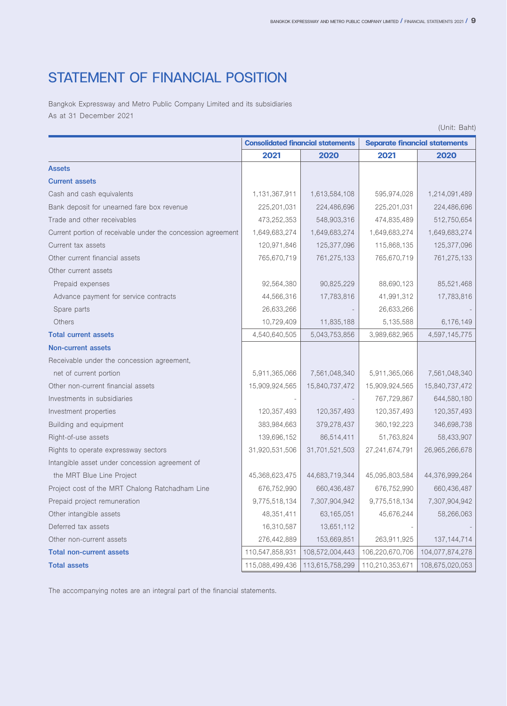### STATEMENT OF FINANCIAL POSITION

Bangkok Expressway and Metro Public Company Limited and its subsidiaries As at 31 December 2021

| <b>Consolidated financial statements</b><br><b>Separate financial statements</b><br>2021<br>2020<br>2021<br>2020<br>1,214,091,489<br>1,131,367,911<br>1,613,584,108<br>595,974,028<br>224,486,696<br>225,201,031<br>224,486,696<br>225,201,031<br>512,750,654<br>473,252,353<br>548,903,316<br>474,835,489<br>1,649,683,274<br>1,649,683,274<br>1,649,683,274<br>1,649,683,274<br>120,971,846<br>125,377,096<br>115,868,135<br>125,377,096<br>765,670,719<br>761,275,133<br>765,670,719<br>761,275,133<br>Prepaid expenses<br>92,564,380<br>90,825,229<br>88,690,123<br>85,521,468<br>44,566,316<br>41,991,312<br>17,783,816<br>Advance payment for service contracts<br>17,783,816<br>26,633,266<br>Spare parts<br>26,633,266<br>11,835,188<br>6,176,149<br>Others<br>10,729,409<br>5,135,588<br>4,540,640,505<br>5,043,753,856<br>3,989,682,965<br>4,597,145,775<br>5,911,365,066<br>7,561,048,340<br>5,911,365,066<br>7,561,048,340<br>net of current portion<br>15,909,924,565<br>15,840,737,472<br>15,909,924,565<br>15,840,737,472<br>767,729,867<br>644,580,180<br>120,357,493<br>120,357,493<br>120,357,493<br>120,357,493<br>379,278,437<br>346,698,738<br>383,984,663<br>360, 192, 223<br>139,696,152<br>86,514,411<br>51,763,824<br>58,433,907<br>31,701,521,503<br>26,965,266,678<br>31,920,531,506<br>27, 241, 674, 791<br>the MRT Blue Line Project<br>44,376,999,264<br>45,368,623,475<br>44,683,719,344<br>45,095,803,584<br>676,752,990<br>660,436,487<br>676,752,990<br>660,436,487<br>9,775,518,134<br>7,307,904,942<br>9,775,518,134<br>7,307,904,942<br>48,351,411<br>63,165,051<br>45,676,244<br>58,266,063<br>16,310,587<br>13,651,112<br>276,442,889<br>153,669,851<br>263,911,925<br>137, 144, 714<br>110,547,858,931<br>108,572,004,443<br>106,220,670,706<br>104,077,874,278<br>108,675,020,053<br>115,088,499,436<br>113,615,758,299<br>110,210,353,671 |                                                              |  | (Unit: Baht) |
|-------------------------------------------------------------------------------------------------------------------------------------------------------------------------------------------------------------------------------------------------------------------------------------------------------------------------------------------------------------------------------------------------------------------------------------------------------------------------------------------------------------------------------------------------------------------------------------------------------------------------------------------------------------------------------------------------------------------------------------------------------------------------------------------------------------------------------------------------------------------------------------------------------------------------------------------------------------------------------------------------------------------------------------------------------------------------------------------------------------------------------------------------------------------------------------------------------------------------------------------------------------------------------------------------------------------------------------------------------------------------------------------------------------------------------------------------------------------------------------------------------------------------------------------------------------------------------------------------------------------------------------------------------------------------------------------------------------------------------------------------------------------------------------------------------------------------------------------------------------------------------------|--------------------------------------------------------------|--|--------------|
|                                                                                                                                                                                                                                                                                                                                                                                                                                                                                                                                                                                                                                                                                                                                                                                                                                                                                                                                                                                                                                                                                                                                                                                                                                                                                                                                                                                                                                                                                                                                                                                                                                                                                                                                                                                                                                                                                     |                                                              |  |              |
|                                                                                                                                                                                                                                                                                                                                                                                                                                                                                                                                                                                                                                                                                                                                                                                                                                                                                                                                                                                                                                                                                                                                                                                                                                                                                                                                                                                                                                                                                                                                                                                                                                                                                                                                                                                                                                                                                     |                                                              |  |              |
|                                                                                                                                                                                                                                                                                                                                                                                                                                                                                                                                                                                                                                                                                                                                                                                                                                                                                                                                                                                                                                                                                                                                                                                                                                                                                                                                                                                                                                                                                                                                                                                                                                                                                                                                                                                                                                                                                     | Assets                                                       |  |              |
|                                                                                                                                                                                                                                                                                                                                                                                                                                                                                                                                                                                                                                                                                                                                                                                                                                                                                                                                                                                                                                                                                                                                                                                                                                                                                                                                                                                                                                                                                                                                                                                                                                                                                                                                                                                                                                                                                     | <b>Current assets</b>                                        |  |              |
|                                                                                                                                                                                                                                                                                                                                                                                                                                                                                                                                                                                                                                                                                                                                                                                                                                                                                                                                                                                                                                                                                                                                                                                                                                                                                                                                                                                                                                                                                                                                                                                                                                                                                                                                                                                                                                                                                     | Cash and cash equivalents                                    |  |              |
|                                                                                                                                                                                                                                                                                                                                                                                                                                                                                                                                                                                                                                                                                                                                                                                                                                                                                                                                                                                                                                                                                                                                                                                                                                                                                                                                                                                                                                                                                                                                                                                                                                                                                                                                                                                                                                                                                     | Bank deposit for unearned fare box revenue                   |  |              |
|                                                                                                                                                                                                                                                                                                                                                                                                                                                                                                                                                                                                                                                                                                                                                                                                                                                                                                                                                                                                                                                                                                                                                                                                                                                                                                                                                                                                                                                                                                                                                                                                                                                                                                                                                                                                                                                                                     | Trade and other receivables                                  |  |              |
|                                                                                                                                                                                                                                                                                                                                                                                                                                                                                                                                                                                                                                                                                                                                                                                                                                                                                                                                                                                                                                                                                                                                                                                                                                                                                                                                                                                                                                                                                                                                                                                                                                                                                                                                                                                                                                                                                     | Current portion of receivable under the concession agreement |  |              |
|                                                                                                                                                                                                                                                                                                                                                                                                                                                                                                                                                                                                                                                                                                                                                                                                                                                                                                                                                                                                                                                                                                                                                                                                                                                                                                                                                                                                                                                                                                                                                                                                                                                                                                                                                                                                                                                                                     | Current tax assets                                           |  |              |
|                                                                                                                                                                                                                                                                                                                                                                                                                                                                                                                                                                                                                                                                                                                                                                                                                                                                                                                                                                                                                                                                                                                                                                                                                                                                                                                                                                                                                                                                                                                                                                                                                                                                                                                                                                                                                                                                                     | Other current financial assets                               |  |              |
|                                                                                                                                                                                                                                                                                                                                                                                                                                                                                                                                                                                                                                                                                                                                                                                                                                                                                                                                                                                                                                                                                                                                                                                                                                                                                                                                                                                                                                                                                                                                                                                                                                                                                                                                                                                                                                                                                     | Other current assets                                         |  |              |
|                                                                                                                                                                                                                                                                                                                                                                                                                                                                                                                                                                                                                                                                                                                                                                                                                                                                                                                                                                                                                                                                                                                                                                                                                                                                                                                                                                                                                                                                                                                                                                                                                                                                                                                                                                                                                                                                                     |                                                              |  |              |
|                                                                                                                                                                                                                                                                                                                                                                                                                                                                                                                                                                                                                                                                                                                                                                                                                                                                                                                                                                                                                                                                                                                                                                                                                                                                                                                                                                                                                                                                                                                                                                                                                                                                                                                                                                                                                                                                                     |                                                              |  |              |
|                                                                                                                                                                                                                                                                                                                                                                                                                                                                                                                                                                                                                                                                                                                                                                                                                                                                                                                                                                                                                                                                                                                                                                                                                                                                                                                                                                                                                                                                                                                                                                                                                                                                                                                                                                                                                                                                                     |                                                              |  |              |
|                                                                                                                                                                                                                                                                                                                                                                                                                                                                                                                                                                                                                                                                                                                                                                                                                                                                                                                                                                                                                                                                                                                                                                                                                                                                                                                                                                                                                                                                                                                                                                                                                                                                                                                                                                                                                                                                                     |                                                              |  |              |
|                                                                                                                                                                                                                                                                                                                                                                                                                                                                                                                                                                                                                                                                                                                                                                                                                                                                                                                                                                                                                                                                                                                                                                                                                                                                                                                                                                                                                                                                                                                                                                                                                                                                                                                                                                                                                                                                                     | <b>Total current assets</b>                                  |  |              |
|                                                                                                                                                                                                                                                                                                                                                                                                                                                                                                                                                                                                                                                                                                                                                                                                                                                                                                                                                                                                                                                                                                                                                                                                                                                                                                                                                                                                                                                                                                                                                                                                                                                                                                                                                                                                                                                                                     | <b>Non-current assets</b>                                    |  |              |
|                                                                                                                                                                                                                                                                                                                                                                                                                                                                                                                                                                                                                                                                                                                                                                                                                                                                                                                                                                                                                                                                                                                                                                                                                                                                                                                                                                                                                                                                                                                                                                                                                                                                                                                                                                                                                                                                                     | Receivable under the concession agreement,                   |  |              |
|                                                                                                                                                                                                                                                                                                                                                                                                                                                                                                                                                                                                                                                                                                                                                                                                                                                                                                                                                                                                                                                                                                                                                                                                                                                                                                                                                                                                                                                                                                                                                                                                                                                                                                                                                                                                                                                                                     |                                                              |  |              |
|                                                                                                                                                                                                                                                                                                                                                                                                                                                                                                                                                                                                                                                                                                                                                                                                                                                                                                                                                                                                                                                                                                                                                                                                                                                                                                                                                                                                                                                                                                                                                                                                                                                                                                                                                                                                                                                                                     | Other non-current financial assets                           |  |              |
|                                                                                                                                                                                                                                                                                                                                                                                                                                                                                                                                                                                                                                                                                                                                                                                                                                                                                                                                                                                                                                                                                                                                                                                                                                                                                                                                                                                                                                                                                                                                                                                                                                                                                                                                                                                                                                                                                     | Investments in subsidiaries                                  |  |              |
|                                                                                                                                                                                                                                                                                                                                                                                                                                                                                                                                                                                                                                                                                                                                                                                                                                                                                                                                                                                                                                                                                                                                                                                                                                                                                                                                                                                                                                                                                                                                                                                                                                                                                                                                                                                                                                                                                     | Investment properties                                        |  |              |
|                                                                                                                                                                                                                                                                                                                                                                                                                                                                                                                                                                                                                                                                                                                                                                                                                                                                                                                                                                                                                                                                                                                                                                                                                                                                                                                                                                                                                                                                                                                                                                                                                                                                                                                                                                                                                                                                                     | Building and equipment                                       |  |              |
|                                                                                                                                                                                                                                                                                                                                                                                                                                                                                                                                                                                                                                                                                                                                                                                                                                                                                                                                                                                                                                                                                                                                                                                                                                                                                                                                                                                                                                                                                                                                                                                                                                                                                                                                                                                                                                                                                     | Right-of-use assets                                          |  |              |
|                                                                                                                                                                                                                                                                                                                                                                                                                                                                                                                                                                                                                                                                                                                                                                                                                                                                                                                                                                                                                                                                                                                                                                                                                                                                                                                                                                                                                                                                                                                                                                                                                                                                                                                                                                                                                                                                                     | Rights to operate expressway sectors                         |  |              |
|                                                                                                                                                                                                                                                                                                                                                                                                                                                                                                                                                                                                                                                                                                                                                                                                                                                                                                                                                                                                                                                                                                                                                                                                                                                                                                                                                                                                                                                                                                                                                                                                                                                                                                                                                                                                                                                                                     | Intangible asset under concession agreement of               |  |              |
|                                                                                                                                                                                                                                                                                                                                                                                                                                                                                                                                                                                                                                                                                                                                                                                                                                                                                                                                                                                                                                                                                                                                                                                                                                                                                                                                                                                                                                                                                                                                                                                                                                                                                                                                                                                                                                                                                     |                                                              |  |              |
|                                                                                                                                                                                                                                                                                                                                                                                                                                                                                                                                                                                                                                                                                                                                                                                                                                                                                                                                                                                                                                                                                                                                                                                                                                                                                                                                                                                                                                                                                                                                                                                                                                                                                                                                                                                                                                                                                     | Project cost of the MRT Chalong Ratchadham Line              |  |              |
|                                                                                                                                                                                                                                                                                                                                                                                                                                                                                                                                                                                                                                                                                                                                                                                                                                                                                                                                                                                                                                                                                                                                                                                                                                                                                                                                                                                                                                                                                                                                                                                                                                                                                                                                                                                                                                                                                     | Prepaid project remuneration                                 |  |              |
|                                                                                                                                                                                                                                                                                                                                                                                                                                                                                                                                                                                                                                                                                                                                                                                                                                                                                                                                                                                                                                                                                                                                                                                                                                                                                                                                                                                                                                                                                                                                                                                                                                                                                                                                                                                                                                                                                     | Other intangible assets                                      |  |              |
|                                                                                                                                                                                                                                                                                                                                                                                                                                                                                                                                                                                                                                                                                                                                                                                                                                                                                                                                                                                                                                                                                                                                                                                                                                                                                                                                                                                                                                                                                                                                                                                                                                                                                                                                                                                                                                                                                     | Deferred tax assets                                          |  |              |
|                                                                                                                                                                                                                                                                                                                                                                                                                                                                                                                                                                                                                                                                                                                                                                                                                                                                                                                                                                                                                                                                                                                                                                                                                                                                                                                                                                                                                                                                                                                                                                                                                                                                                                                                                                                                                                                                                     | Other non-current assets                                     |  |              |
|                                                                                                                                                                                                                                                                                                                                                                                                                                                                                                                                                                                                                                                                                                                                                                                                                                                                                                                                                                                                                                                                                                                                                                                                                                                                                                                                                                                                                                                                                                                                                                                                                                                                                                                                                                                                                                                                                     | <b>Total non-current assets</b>                              |  |              |
|                                                                                                                                                                                                                                                                                                                                                                                                                                                                                                                                                                                                                                                                                                                                                                                                                                                                                                                                                                                                                                                                                                                                                                                                                                                                                                                                                                                                                                                                                                                                                                                                                                                                                                                                                                                                                                                                                     | <b>Total assets</b>                                          |  |              |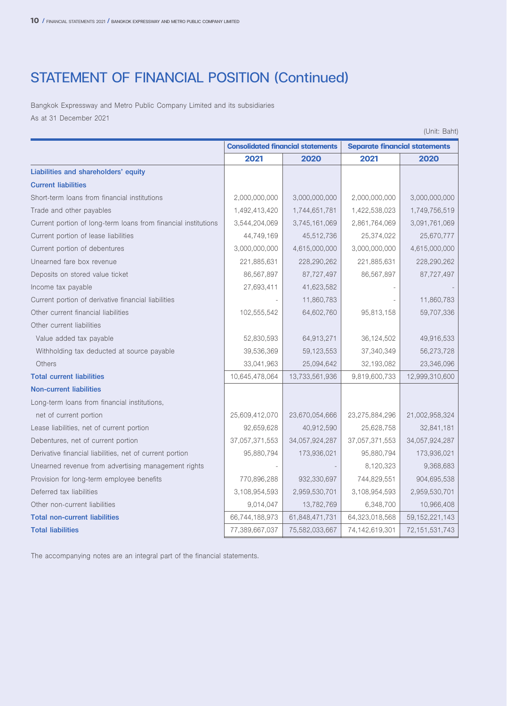### STATEMENT OF FINANCIAL POSITION (Continued)

Bangkok Expressway and Metro Public Company Limited and its subsidiaries As at 31 December 2021

|                                                                |                                          |                |                                      | (Unit: Baht)      |
|----------------------------------------------------------------|------------------------------------------|----------------|--------------------------------------|-------------------|
|                                                                | <b>Consolidated financial statements</b> |                | <b>Separate financial statements</b> |                   |
|                                                                | 2021                                     | 2020           | 2021                                 | 2020              |
| Liabilities and shareholders' equity                           |                                          |                |                                      |                   |
| <b>Current liabilities</b>                                     |                                          |                |                                      |                   |
| Short-term loans from financial institutions                   | 2,000,000,000                            | 3,000,000,000  | 2,000,000,000                        | 3,000,000,000     |
| Trade and other payables                                       | 1,492,413,420                            | 1,744,651,781  | 1,422,538,023                        | 1,749,756,519     |
| Current portion of long-term loans from financial institutions | 3,544,204,069                            | 3,745,161,069  | 2,861,764,069                        | 3,091,761,069     |
| Current portion of lease liabilities                           | 44,749,169                               | 45,512,736     | 25,374,022                           | 25,670,777        |
| Current portion of debentures                                  | 3,000,000,000                            | 4,615,000,000  | 3,000,000,000                        | 4,615,000,000     |
| Unearned fare box revenue                                      | 221,885,631                              | 228,290,262    | 221,885,631                          | 228,290,262       |
| Deposits on stored value ticket                                | 86,567,897                               | 87,727,497     | 86,567,897                           | 87,727,497        |
| Income tax payable                                             | 27,693,411                               | 41,623,582     |                                      |                   |
| Current portion of derivative financial liabilities            |                                          | 11,860,783     |                                      | 11,860,783        |
| Other current financial liabilities                            | 102,555,542                              | 64,602,760     | 95,813,158                           | 59,707,336        |
| Other current liabilities                                      |                                          |                |                                      |                   |
| Value added tax payable                                        | 52,830,593                               | 64,913,271     | 36,124,502                           | 49,916,533        |
| Withholding tax deducted at source payable                     | 39,536,369                               | 59,123,553     | 37,340,349                           | 56,273,728        |
| Others                                                         | 33,041,963                               | 25,094,642     | 32,193,082                           | 23,346,096        |
| <b>Total current liabilities</b>                               | 10,645,478,064                           | 13,733,561,936 | 9,819,600,733                        | 12,999,310,600    |
| <b>Non-current liabilities</b>                                 |                                          |                |                                      |                   |
| Long-term loans from financial institutions,                   |                                          |                |                                      |                   |
| net of current portion                                         | 25,609,412,070                           | 23,670,054,666 | 23,275,884,296                       | 21,002,958,324    |
| Lease liabilities, net of current portion                      | 92,659,628                               | 40,912,590     | 25,628,758                           | 32,841,181        |
| Debentures, net of current portion                             | 37,057,371,553                           | 34,057,924,287 | 37,057,371,553                       | 34,057,924,287    |
| Derivative financial liabilities, net of current portion       | 95,880,794                               | 173,936,021    | 95,880,794                           | 173,936,021       |
| Unearned revenue from advertising management rights            |                                          |                | 8,120,323                            | 9,368,683         |
| Provision for long-term employee benefits                      | 770,896,288                              | 932,330,697    | 744,829,551                          | 904,695,538       |
| Deferred tax liabilities                                       | 3,108,954,593                            | 2,959,530,701  | 3,108,954,593                        | 2,959,530,701     |
| Other non-current liabilities                                  | 9,014,047                                | 13,782,769     | 6,348,700                            | 10,966,408        |
| <b>Total non-current liabilities</b>                           | 66,744,188,973                           | 61,848,471,731 | 64,323,018,568                       | 59, 152, 221, 143 |
| <b>Total liabilities</b>                                       | 77,389,667,037                           | 75,582,033,667 | 74,142,619,301                       | 72, 151, 531, 743 |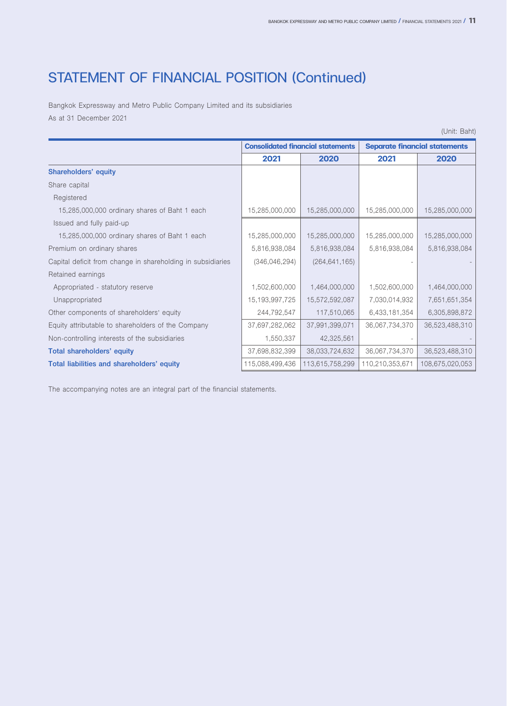### STATEMENT OF FINANCIAL POSITION (Continued)

Bangkok Expressway and Metro Public Company Limited and its subsidiaries As at 31 December 2021

(Unit: Baht)

|                                                             |                 | <b>Consolidated financial statements</b> | <b>Separate financial statements</b> |                 |
|-------------------------------------------------------------|-----------------|------------------------------------------|--------------------------------------|-----------------|
|                                                             | 2021            | 2020                                     | 2021                                 | 2020            |
| <b>Shareholders' equity</b>                                 |                 |                                          |                                      |                 |
| Share capital                                               |                 |                                          |                                      |                 |
| Registered                                                  |                 |                                          |                                      |                 |
| 15,285,000,000 ordinary shares of Baht 1 each               | 15,285,000,000  | 15,285,000,000                           | 15,285,000,000                       | 15,285,000,000  |
| Issued and fully paid-up                                    |                 |                                          |                                      |                 |
| 15,285,000,000 ordinary shares of Baht 1 each               | 15,285,000,000  | 15,285,000,000                           | 15,285,000,000                       | 15,285,000,000  |
| Premium on ordinary shares                                  | 5,816,938,084   | 5,816,938,084                            | 5,816,938,084                        | 5,816,938,084   |
| Capital deficit from change in shareholding in subsidiaries | (346, 046, 294) | (264, 641, 165)                          |                                      |                 |
| Retained earnings                                           |                 |                                          |                                      |                 |
| Appropriated - statutory reserve                            | 1,502,600,000   | 1,464,000,000                            | 1,502,600,000                        | 1,464,000,000   |
| Unappropriated                                              | 15,193,997,725  | 15,572,592,087                           | 7,030,014,932                        | 7,651,651,354   |
| Other components of shareholders' equity                    | 244,792,547     | 117,510,065                              | 6,433,181,354                        | 6,305,898,872   |
| Equity attributable to shareholders of the Company          | 37,697,282,062  | 37,991,399,071                           | 36,067,734,370                       | 36,523,488,310  |
| Non-controlling interests of the subsidiaries               | 1,550,337       | 42,325,561                               |                                      |                 |
| <b>Total shareholders' equity</b>                           | 37,698,832,399  | 38,033,724,632                           | 36,067,734,370                       | 36,523,488,310  |
| Total liabilities and shareholders' equity                  | 115,088,499,436 | 113,615,758,299                          | 110,210,353,671                      | 108,675,020,053 |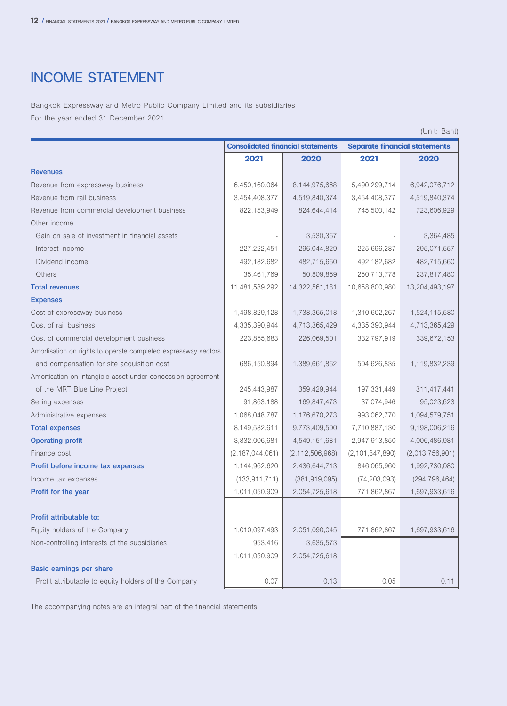### INCOME STATEMENT

Bangkok Expressway and Metro Public Company Limited and its subsidiaries For the year ended 31 December 2021

|                                                                |                    |                                          |                    | (Unit: Baht)                         |
|----------------------------------------------------------------|--------------------|------------------------------------------|--------------------|--------------------------------------|
|                                                                |                    | <b>Consolidated financial statements</b> |                    | <b>Separate financial statements</b> |
|                                                                | 2021               | 2020                                     | 2021               | 2020                                 |
| <b>Revenues</b>                                                |                    |                                          |                    |                                      |
| Revenue from expressway business                               | 6,450,160,064      | 8,144,975,668                            | 5,490,299,714      | 6,942,076,712                        |
| Revenue from rail business                                     | 3,454,408,377      | 4,519,840,374                            | 3,454,408,377      | 4,519,840,374                        |
| Revenue from commercial development business                   | 822,153,949        | 824,644,414                              | 745,500,142        | 723,606,929                          |
| Other income                                                   |                    |                                          |                    |                                      |
| Gain on sale of investment in financial assets                 |                    | 3,530,367                                |                    | 3,364,485                            |
| Interest income                                                | 227, 222, 451      | 296,044,829                              | 225,696,287        | 295,071,557                          |
| Dividend income                                                | 492,182,682        | 482,715,660                              | 492,182,682        | 482,715,660                          |
| Others                                                         | 35,461,769         | 50,809,869                               | 250,713,778        | 237,817,480                          |
| <b>Total revenues</b>                                          | 11,481,589,292     | 14,322,561,181                           | 10,658,800,980     | 13,204,493,197                       |
| <b>Expenses</b>                                                |                    |                                          |                    |                                      |
| Cost of expressway business                                    | 1,498,829,128      | 1,738,365,018                            | 1,310,602,267      | 1,524,115,580                        |
| Cost of rail business                                          | 4,335,390,944      | 4,713,365,429                            | 4,335,390,944      | 4,713,365,429                        |
| Cost of commercial development business                        | 223,855,683        | 226,069,501                              | 332,797,919        | 339,672,153                          |
| Amortisation on rights to operate completed expressway sectors |                    |                                          |                    |                                      |
| and compensation for site acquisition cost                     | 686,150,894        | 1,389,661,862                            | 504,626,835        | 1,119,832,239                        |
| Amortisation on intangible asset under concession agreement    |                    |                                          |                    |                                      |
| of the MRT Blue Line Project                                   | 245,443,987        | 359,429,944                              | 197,331,449        | 311,417,441                          |
| Selling expenses                                               | 91,863,188         | 169,847,473                              | 37,074,946         | 95,023,623                           |
| Administrative expenses                                        | 1,068,048,787      | 1,176,670,273                            | 993,062,770        | 1,094,579,751                        |
| <b>Total expenses</b>                                          | 8,149,582,611      | 9,773,409,500                            | 7,710,887,130      | 9,198,006,216                        |
| <b>Operating profit</b>                                        | 3,332,006,681      | 4,549,151,681                            | 2,947,913,850      | 4,006,486,981                        |
| Finance cost                                                   | (2, 187, 044, 061) | (2, 112, 506, 968)                       | (2, 101, 847, 890) | (2,013,756,901)                      |
| Profit before income tax expenses                              | 1,144,962,620      | 2,436,644,713                            | 846,065,960        | 1,992,730,080                        |
| Income tax expenses                                            | (133, 911, 711)    | (381, 919, 095)                          | (74, 203, 093)     | (294, 796, 464)                      |
| Profit for the year                                            | 1,011,050,909      | 2,054,725,618                            | 771,862,867        | 1,697,933,616                        |
|                                                                |                    |                                          |                    |                                      |
| Profit attributable to:                                        |                    |                                          |                    |                                      |
| Equity holders of the Company                                  | 1,010,097,493      | 2,051,090,045                            | 771,862,867        | 1,697,933,616                        |
| Non-controlling interests of the subsidiaries                  | 953,416            | 3,635,573                                |                    |                                      |
|                                                                | 1,011,050,909      | 2,054,725,618                            |                    |                                      |
| Basic earnings per share                                       |                    |                                          |                    |                                      |
| Profit attributable to equity holders of the Company           | 0.07               | 0.13                                     | 0.05               | 0.11                                 |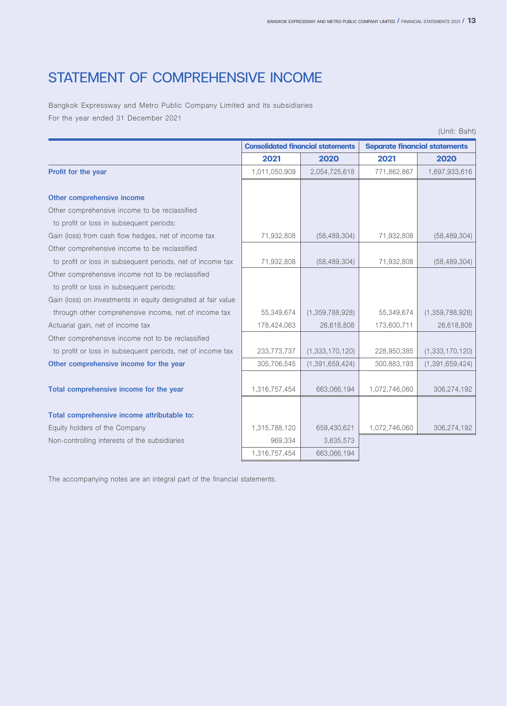### STATEMENT OF COMPREHENSIVE INCOME

Bangkok Expressway and Metro Public Company Limited and its subsidiaries For the year ended 31 December 2021

|                                                               |               |                                          |                                      | (Unit: Baht)       |
|---------------------------------------------------------------|---------------|------------------------------------------|--------------------------------------|--------------------|
|                                                               |               | <b>Consolidated financial statements</b> | <b>Separate financial statements</b> |                    |
|                                                               | 2021          | 2020                                     | 2021                                 | 2020               |
| Profit for the year                                           | 1,011,050,909 | 2,054,725,618                            | 771,862,867                          | 1,697,933,616      |
| Other comprehensive income                                    |               |                                          |                                      |                    |
| Other comprehensive income to be reclassified                 |               |                                          |                                      |                    |
| to profit or loss in subsequent periods:                      |               |                                          |                                      |                    |
| Gain (loss) from cash flow hedges, net of income tax          | 71,932,808    | (58, 489, 304)                           | 71,932,808                           | (58, 489, 304)     |
| Other comprehensive income to be reclassified                 |               |                                          |                                      |                    |
| to profit or loss in subsequent periods, net of income tax    | 71,932,808    | (58, 489, 304)                           | 71,932,808                           | (58, 489, 304)     |
| Other comprehensive income not to be reclassified             |               |                                          |                                      |                    |
| to profit or loss in subsequent periods:                      |               |                                          |                                      |                    |
| Gain (loss) on investments in equity designated at fair value |               |                                          |                                      |                    |
| through other comprehensive income, net of income tax         | 55,349,674    | (1,359,788,928)                          | 55,349,674                           | (1,359,788,928)    |
| Actuarial gain, net of income tax                             | 178,424,063   | 26,618,808                               | 173,600,711                          | 26,618,808         |
| Other comprehensive income not to be reclassified             |               |                                          |                                      |                    |
| to profit or loss in subsequent periods, net of income tax    | 233,773,737   | (1,333,170,120)                          | 228,950,385                          | (1,333,170,120)    |
| Other comprehensive income for the year                       | 305,706,545   | (1, 391, 659, 424)                       | 300,883,193                          | (1, 391, 659, 424) |
|                                                               |               |                                          |                                      |                    |
| Total comprehensive income for the year                       | 1,316,757,454 | 663,066,194                              | 1,072,746,060                        | 306,274,192        |
|                                                               |               |                                          |                                      |                    |
| Total comprehensive income attributable to:                   |               |                                          |                                      |                    |
| Equity holders of the Company                                 | 1,315,788,120 | 659,430,621                              | 1,072,746,060                        | 306,274,192        |
| Non-controlling interests of the subsidiaries                 | 969.334       | 3,635,573                                |                                      |                    |
|                                                               | 1,316,757,454 | 663,066,194                              |                                      |                    |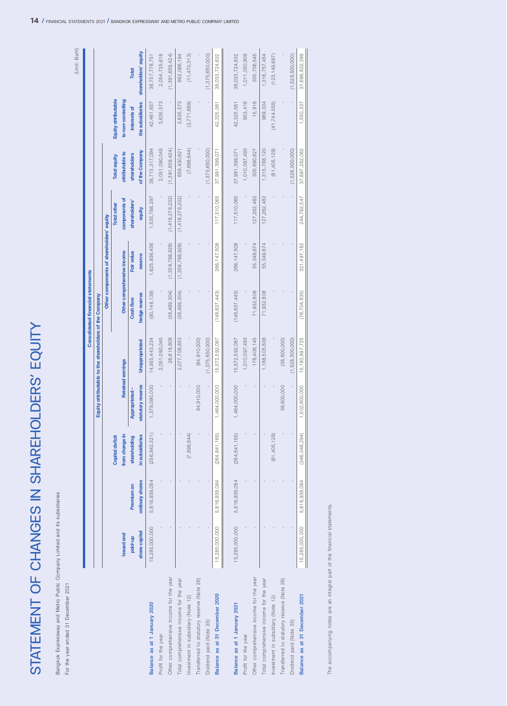| STATEMENT OF CHANGES IN SHAREH<br>Bangkok Expressway and Metro Public Company Limited and its subsidiaries |                   |                   |                 |                       | <b>OLDERS' EQUITY</b>                                  |                                          |                                          |                    |                     |                     |                      |
|------------------------------------------------------------------------------------------------------------|-------------------|-------------------|-----------------|-----------------------|--------------------------------------------------------|------------------------------------------|------------------------------------------|--------------------|---------------------|---------------------|----------------------|
| For the year ended 31 December 2021                                                                        |                   |                   |                 |                       |                                                        |                                          |                                          |                    |                     |                     | (Unit: Baht)         |
|                                                                                                            |                   |                   |                 |                       |                                                        | <b>Consolidated financial statements</b> |                                          |                    |                     |                     |                      |
|                                                                                                            |                   |                   |                 |                       | Equity attributable to the shareholders of the Company |                                          |                                          |                    |                     |                     |                      |
|                                                                                                            |                   |                   |                 |                       |                                                        |                                          | Other components of shareholders' equity |                    |                     |                     |                      |
|                                                                                                            |                   |                   | Capital deficit |                       |                                                        |                                          |                                          | <b>Total other</b> | <b>Total equity</b> | Equity attributable |                      |
|                                                                                                            | <b>Issued and</b> |                   | from change in  |                       | Retained earnings                                      |                                          | Other comprehensive income               | components of      | attributable to     | to non-controlling  |                      |
|                                                                                                            | paid-up           | <b>Premium on</b> | shareholding    | <b>Appropriated -</b> |                                                        | Cash flow                                | Fair value                               | shareholders'      | shareholders        | interests of        | <b>Total</b>         |
|                                                                                                            | share capital     | ordinary shares   | in subsidiaries | statutory reserve     | Unappropriated                                         | hedge reserve                            | reserve                                  | equity             | of the Company      | the subsidiaries    | shareholders' equity |
| Balance as at 1 January 2020                                                                               | 15,285,000,000    | 5,816,938,084     | (256, 942, 521) | 1,379,090,000         | 14,955,443,234                                         | (90, 148, 139)                           | 1,625,936,436                            | 1,535,788,297      | 38,715,317,094      | 42,461,657          | 38,757,778,751       |
| Profit for the year                                                                                        |                   |                   |                 |                       | 2,051,090,045                                          |                                          |                                          |                    | 2,051,090,045       | 3,635,573           | 2,054,725,618        |
| Other comprehensive income for the year                                                                    |                   |                   |                 |                       | 26,618,808                                             | (58, 489, 304)                           | (1,359,788,928)                          | (1, 418, 278, 232) | (1, 391, 659, 424)  |                     | (1, 391, 659, 424)   |
| Total comprehensive income for the year                                                                    |                   |                   |                 |                       | 2,077,708,853                                          | (58,489,304)                             | (1,359,788,928)                          | (1, 418, 278, 232) | 659,430,621         | 3,635,573           | 663,066,194          |
| nvestment in subsidiary (Note 12)                                                                          |                   |                   | (7,698,644)     |                       |                                                        |                                          |                                          |                    | (7,698,644)         | (3,771,669)         | (11, 470, 313)       |
| Transferred to statutory reserve (Note 26)                                                                 |                   |                   |                 | 84,910,000            | (84,910,000)                                           |                                          |                                          |                    |                     |                     |                      |
| Dividend paid (Note 35)                                                                                    |                   |                   |                 |                       | (1,375,650,000)                                        |                                          |                                          |                    | (1,375,650,000)     |                     | (1,375,650,000)      |
| Balance as at 31 December 2020                                                                             | 15,285,000,000    | 816,938,084       | (264, 641, 165) | 1,464,000,000         | 15,572,592,087                                         | (148, 637, 443)                          | 266, 147, 508                            | 117,510,065        | 37,991,399,07       | 42,325,561          | 38,033,724,632       |
|                                                                                                            | 15,285,000,000    | 5,816,938,084     | (264, 641, 165) | 1,464,000,000         | 15,572,592,087                                         | (148, 637, 443)                          | 266, 147, 508                            | 117,510,065        | 37,991,399,071      | 42,325,561          | 38,033,724,632       |
| Balance as at 1 January 2021                                                                               |                   |                   |                 |                       |                                                        |                                          |                                          |                    |                     |                     |                      |
| Profit for the year                                                                                        |                   |                   |                 |                       | 1,010,097,493                                          |                                          |                                          |                    | 1,010,097,493       | 953,416             | 1,011,050,909        |
| Other comprehensive income for the year                                                                    |                   |                   |                 |                       | 178,408,145                                            | 71,932,808                               | 55,349,674                               | 127,282,482        | 305,690,627         | 15,918              | 305,706,545          |
| Total comprehensive income for the year                                                                    |                   |                   |                 |                       | 1,188,505,638                                          | 71,932,808                               | 55,349,674                               | 127,282,482        | 1,315,788,120       | 969,334             | 1,316,757,454        |
| Investment in subsidiary (Note 12)                                                                         |                   |                   | (81,405,129)    |                       |                                                        |                                          |                                          |                    | (81,405,129)        | (41, 744, 558)      | (123, 149, 687)      |
| Transferred to statutory reserve (Note 26)                                                                 |                   |                   |                 | 38,600,000            | (38,600,000)                                           |                                          |                                          |                    |                     |                     |                      |
| Dividend paid (Note 35)                                                                                    |                   |                   |                 |                       | (1,528,500,000)                                        |                                          |                                          |                    | (1,528,500,000)     |                     | (1,528,500,000)      |

The accompanying notes are an integral part of the financial statements. The accompanying notes are an integral part of the financial statements.

Dividend paid (Note 35) - - - - (1,528,500,000) - - - (1,528,500,000) - (1,528,500,000) **Balance as at 31 December 2021** 15,285,000,000 5,816,938,084 (346,046,294) 1,502,600,000 15,193,997,725 (76,704,635) 321,497,182 244,792,547 37,697,282,062 1,550,337 37,698,832,399

37,698,832,399

1,550,337

37,697,282,062

244,792,547

321,497,182

 $(76, 704, 635)$ 

15,193,997,725

1,502,600,000

 $(346, 046, 294)$ 

5,816,938,084

15,285,000,000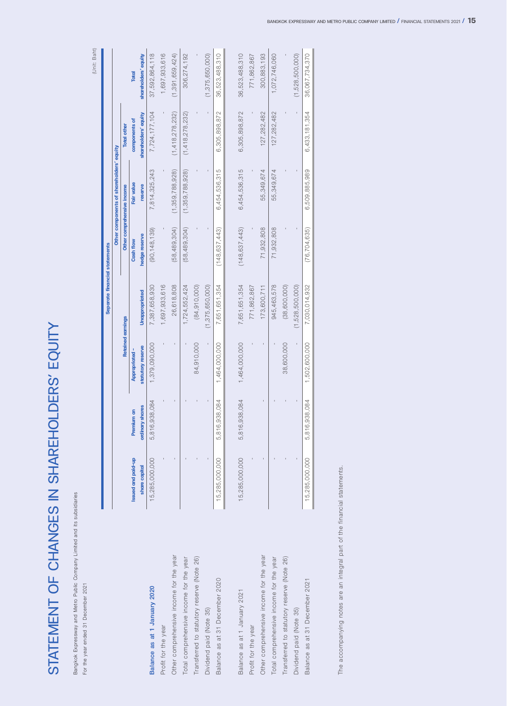STATEMENT OF CHANGES IN SHAREHOLDERS' EQUITY STATEMENT OF CHANGES IN SHAREHOLDERS' EQUITY

Bangkok Expressway and Metro Public Company Limited and its subsidiaries Bangkok Expressway and Metro Public Company Limited and its subsidiaries For the year ended 31 December 2021

For the year ended 31 December 2021

(Unit: Baht) (Unit: Baht) ı

|                                            |                    |                   |                          | Separate financial statements |                 |                                          |                      |                      |
|--------------------------------------------|--------------------|-------------------|--------------------------|-------------------------------|-----------------|------------------------------------------|----------------------|----------------------|
|                                            |                    |                   |                          |                               |                 | Other components of shareholders' equity |                      |                      |
|                                            |                    |                   | <b>Retained earnings</b> |                               |                 | Other comprehensive income               | <b>Total other</b>   |                      |
|                                            | Issued and paid-up | <b>Premium on</b> | <b>Appropriated -</b>    |                               | Cash flow       | Fair value                               | components of        | Total                |
|                                            | share capital      | ordinary shares   | statutory reserve        | Unappropriated                | hedge reserve   | reserve                                  | shareholders' equity | shareholders' equity |
| Balance as at 1 January 2020               | 15,285,000,000     | 6,938,084<br>5,81 | 1,379,090,000            | 7,387,658,930                 | (90, 148, 139)  | 7,814,325,243                            | 7,724,177,104        | 37,592,864,118       |
| Profit for the year                        |                    |                   |                          | 1,697,933,616                 |                 |                                          |                      | 1,697,933,616        |
| Other comprehensive income for the year    |                    |                   |                          | 26,618,808                    | (58, 489, 304)  | (1,359,788,928)                          | (1, 418, 278, 232)   | (1, 391, 659, 424)   |
| Total comprehensive income for the year    |                    |                   |                          | 1,724,552,424                 | (58, 489, 304)  | (1, 359, 788, 928)                       | (1, 418, 278, 232)   | 306,274,192          |
| Transferred to statutory reserve (Note 26) |                    |                   | 84,910,000               | (84, 910, 000)                |                 |                                          |                      |                      |
| Dividend paid (Note 35)                    |                    |                   |                          | (1,375,650,000)               |                 |                                          |                      | (1,375,650,000)      |
| Balance as at 31 December 2020             | 15,285,000,000     | 5,816,938,084     | 1,464,000,000            | 7,651,651,354                 | (148.637.443)   | 6,454,536,315                            | 6,305,898,872        | 36,523,488,310       |
|                                            |                    |                   |                          |                               |                 |                                          |                      |                      |
| Balance as at 1 January 2021               | 15,285,000,000     | 5,816,938,084     | 1,464,000,000            | 7,651,651,354                 | (148, 637, 443) | 6,454,536,315                            | 6,305,898,872        | 36,523,488,310       |
| Profit for the year                        |                    |                   |                          | 771,862,867                   |                 |                                          |                      | 771,862,867          |
| Other comprehensive income for the year    |                    |                   |                          | 173,600,711                   | 71,932,808      | 55,349,674                               | 127,282,482          | 300,883,193          |
| Total comprehensive income for the year    |                    |                   |                          | 945,463,578                   | 71,932,808      | 55,349,674                               | 127,282,482          | 1,072,746,060        |
| Transferred to statutory reserve (Note 26) |                    |                   | 38,600,000               | (38,600,000)                  |                 |                                          |                      |                      |
| Dividend paid (Note 35)                    |                    |                   |                          | (1,528,500,000)               |                 |                                          |                      | (1,528,500,000)      |
| Balance as at 31 December 2021             | 15,285,000,000     | 5,816,938,084     | 1,502,600,000            | 7,030,014,932                 | (76, 704, 635)  | 6,509,885,989                            | 6,433,181,354        | 36,067,734,370       |
|                                            |                    |                   |                          |                               |                 |                                          |                      |                      |

The accompanying notes are an integral part of the financial statements. The accompanying notes are an integral part of the financial statements.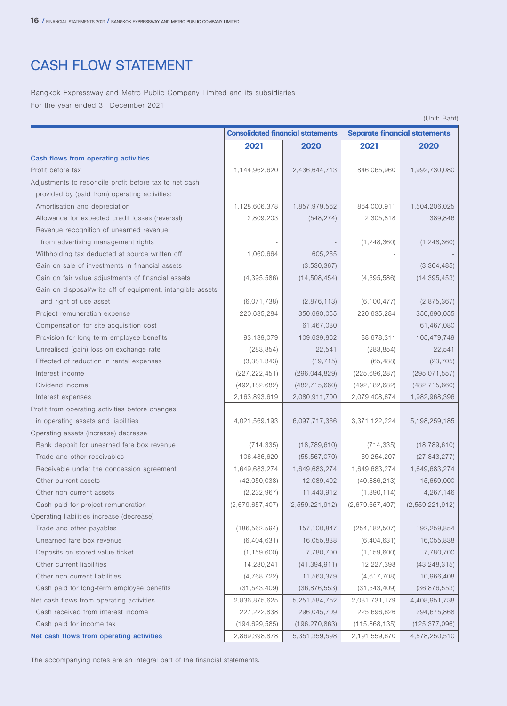### CASH FLOW STATEMENT

Bangkok Expressway and Metro Public Company Limited and its subsidiaries For the year ended 31 December 2021

| (Unit: Baht) |  |
|--------------|--|
|              |  |

|                                                            |                 |                                          |                                      | (Unit: Baht)    |
|------------------------------------------------------------|-----------------|------------------------------------------|--------------------------------------|-----------------|
|                                                            |                 | <b>Consolidated financial statements</b> | <b>Separate financial statements</b> |                 |
|                                                            | 2021            | 2020                                     | 2021                                 | 2020            |
| Cash flows from operating activities                       |                 |                                          |                                      |                 |
| Profit before tax                                          | 1,144,962,620   | 2,436,644,713                            | 846,065,960                          | 1,992,730,080   |
| Adjustments to reconcile profit before tax to net cash     |                 |                                          |                                      |                 |
| provided by (paid from) operating activities:              |                 |                                          |                                      |                 |
| Amortisation and depreciation                              | 1,128,606,378   | 1,857,979,562                            | 864,000,911                          | 1,504,206,025   |
| Allowance for expected credit losses (reversal)            | 2,809,203       | (548, 274)                               | 2,305,818                            | 389,846         |
| Revenue recognition of unearned revenue                    |                 |                                          |                                      |                 |
| from advertising management rights                         |                 |                                          | (1, 248, 360)                        | (1, 248, 360)   |
| Withholding tax deducted at source written off             | 1,060,664       | 605,265                                  |                                      |                 |
| Gain on sale of investments in financial assets            |                 | (3,530,367)                              |                                      | (3, 364, 485)   |
| Gain on fair value adjustments of financial assets         | (4,395,586)     | (14, 508, 454)                           | (4, 395, 586)                        | (14, 395, 453)  |
| Gain on disposal/write-off of equipment, intangible assets |                 |                                          |                                      |                 |
| and right-of-use asset                                     | (6,071,738)     | (2,876,113)                              | (6, 100, 477)                        | (2,875,367)     |
| Project remuneration expense                               | 220,635,284     | 350,690,055                              | 220,635,284                          | 350,690,055     |
| Compensation for site acquisition cost                     |                 | 61,467,080                               |                                      | 61,467,080      |
| Provision for long-term employee benefits                  | 93,139,079      | 109,639,862                              | 88,678,311                           | 105,479,749     |
| Unrealised (gain) loss on exchange rate                    | (283, 854)      | 22,541                                   | (283, 854)                           | 22,541          |
| Effected of reduction in rental expenses                   | (3,381,343)     | (19, 715)                                | (65, 488)                            | (23, 705)       |
| Interest income                                            | (227, 222, 451) | (296, 044, 829)                          | (225, 696, 287)                      | (295, 071, 557) |
| Dividend income                                            | (492, 182, 682) | (482, 715, 660)                          | (492, 182, 682)                      | (482, 715, 660) |
| Interest expenses                                          | 2,163,893,619   | 2,080,911,700                            | 2,079,408,674                        | 1,982,968,396   |
| Profit from operating activities before changes            |                 |                                          |                                      |                 |
| in operating assets and liabilities                        | 4,021,569,193   | 6,097,717,366                            | 3,371,122,224                        | 5,198,259,185   |
| Operating assets (increase) decrease                       |                 |                                          |                                      |                 |
| Bank deposit for unearned fare box revenue                 | (714, 335)      | (18, 789, 610)                           | (714, 335)                           | (18, 789, 610)  |
| Trade and other receivables                                | 106,486,620     | (55, 567, 070)                           | 69,254,207                           | (27, 843, 277)  |
| Receivable under the concession agreement                  | 1,649,683,274   | 1,649,683,274                            | 1,649,683,274                        | 1,649,683,274   |
| Other current assets                                       | (42,050,038)    | 12,089,492                               | (40,886,213)                         | 15,659,000      |
| Other non-current assets                                   | (2, 232, 967)   | 11,443,912                               | (1, 390, 114)                        | 4,267,146       |
| Cash paid for project remuneration                         | (2,679,657,407) | (2,559,221,912)                          | (2,679,657,407)                      | (2,559,221,912) |
| Operating liabilities increase (decrease)                  |                 |                                          |                                      |                 |
| Trade and other payables                                   | (186, 562, 594) | 157,100,847                              | (254, 182, 507)                      | 192,259,854     |
| Unearned fare box revenue                                  | (6,404,631)     | 16,055,838                               | (6,404,631)                          | 16,055,838      |
| Deposits on stored value ticket                            | (1, 159, 600)   | 7,780,700                                | (1, 159, 600)                        | 7,780,700       |
| Other current liabilities                                  | 14,230,241      | (41, 394, 911)                           | 12,227,398                           | (43, 248, 315)  |
| Other non-current liabilities                              | (4, 768, 722)   | 11,563,379                               | (4,617,708)                          | 10,966,408      |
| Cash paid for long-term employee benefits                  | (31, 543, 409)  | (36, 876, 553)                           | (31, 543, 409)                       | (36,876,553)    |
| Net cash flows from operating activities                   | 2,836,875,625   | 5,251,584,752                            | 2,081,731,179                        | 4,408,951,738   |
| Cash received from interest income                         | 227,222,838     | 296,045,709                              | 225,696,626                          | 294,675,868     |
| Cash paid for income tax                                   | (194, 699, 585) | (196, 270, 863)                          | (115,868,135)                        | (125, 377, 096) |
| Net cash flows from operating activities                   | 2,869,398,878   | 5,351,359,598                            | 2,191,559,670                        | 4,578,250,510   |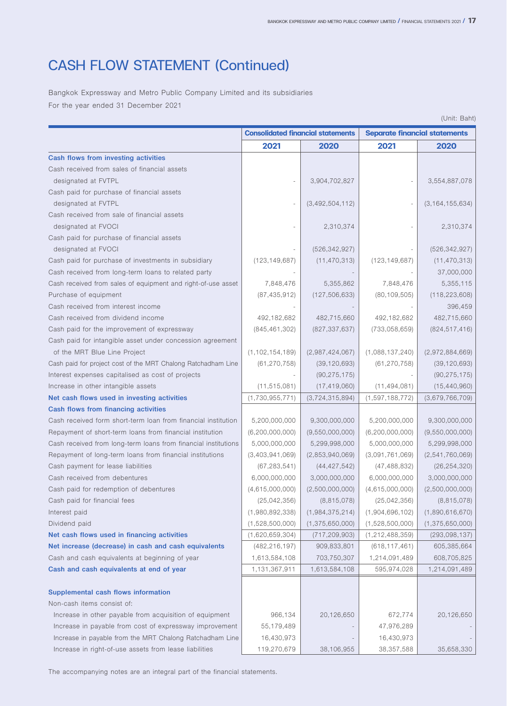### CASH FLOW STATEMENT (Continued)

Bangkok Expressway and Metro Public Company Limited and its subsidiaries For the year ended 31 December 2021

|                                                                |                    |                                          |                                      | (Unit: Baht)       |
|----------------------------------------------------------------|--------------------|------------------------------------------|--------------------------------------|--------------------|
|                                                                |                    | <b>Consolidated financial statements</b> | <b>Separate financial statements</b> |                    |
|                                                                | 2021               | 2020                                     | 2021                                 | 2020               |
| Cash flows from investing activities                           |                    |                                          |                                      |                    |
| Cash received from sales of financial assets                   |                    |                                          |                                      |                    |
| designated at FVTPL                                            |                    | 3,904,702,827                            |                                      | 3,554,887,078      |
| Cash paid for purchase of financial assets                     |                    |                                          |                                      |                    |
| designated at FVTPL                                            |                    | (3,492,504,112)                          |                                      | (3, 164, 155, 634) |
| Cash received from sale of financial assets                    |                    |                                          |                                      |                    |
| designated at FVOCI                                            |                    | 2,310,374                                |                                      | 2,310,374          |
| Cash paid for purchase of financial assets                     |                    |                                          |                                      |                    |
| designated at FVOCI                                            |                    | (526, 342, 927)                          |                                      | (526, 342, 927)    |
| Cash paid for purchase of investments in subsidiary            | (123, 149, 687)    | (11, 470, 313)                           | (123, 149, 687)                      | (11, 470, 313)     |
| Cash received from long-term loans to related party            |                    |                                          |                                      | 37,000,000         |
| Cash received from sales of equipment and right-of-use asset   | 7,848,476          | 5,355,862                                | 7,848,476                            | 5,355,115          |
| Purchase of equipment                                          | (87, 435, 912)     | (127, 506, 633)                          | (80, 109, 505)                       | (118, 223, 608)    |
| Cash received from interest income                             |                    |                                          |                                      | 396,459            |
| Cash received from dividend income                             | 492,182,682        | 482,715,660                              | 492,182,682                          | 482,715,660        |
| Cash paid for the improvement of expressway                    | (845, 461, 302)    | (827, 337, 637)                          | (733,058,659)                        | (824, 517, 416)    |
| Cash paid for intangible asset under concession agreement      |                    |                                          |                                      |                    |
| of the MRT Blue Line Project                                   | (1, 102, 154, 189) | (2,987,424,067)                          | (1,088,137,240)                      | (2,972,884,669)    |
| Cash paid for project cost of the MRT Chalong Ratchadham Line  | (61, 270, 758)     | (39, 120, 693)                           | (61, 270, 758)                       | (39, 120, 693)     |
| Interest expenses capitalised as cost of projects              |                    | (90, 275, 175)                           |                                      | (90, 275, 175)     |
| Increase in other intangible assets                            | (11, 515, 081)     | (17, 419, 060)                           | (11, 494, 081)                       | (15, 440, 960)     |
| Net cash flows used in investing activities                    | (1,730,955,771)    | (3,724,315,894)                          | (1,597,188,772)                      | (3,679,766,709)    |
| Cash flows from financing activities                           |                    |                                          |                                      |                    |
| Cash received form short-term loan from financial institution  | 5,200,000,000      | 9,300,000,000                            | 5,200,000,000                        | 9,300,000,000      |
| Repayment of short-term loans from financial institution       | (6, 200, 000, 000) | (9,550,000,000)                          | (6,200,000,000)                      | (9,550,000,000)    |
| Cash received from long-term loans from financial institutions | 5,000,000,000      | 5,299,998,000                            | 5,000,000,000                        | 5,299,998,000      |
| Repayment of long-term loans from financial institutions       | (3,403,941,069)    | (2,853,940,069)                          | (3,091,761,069)                      | (2,541,760,069)    |
| Cash payment for lease liabilities                             | (67, 283, 541)     | (44, 427, 542)                           | (47, 488, 832)                       | (26, 254, 320)     |
| Cash received from debentures                                  | 6,000,000,000      | 3,000,000,000                            | 6,000,000,000                        | 3,000,000,000      |
| Cash paid for redemption of debentures                         | (4,615,000,000)    | (2,500,000,000)                          | (4,615,000,000)                      | (2,500,000,000)    |
| Cash paid for financial fees                                   | (25,042,356)       | (8, 815, 078)                            | (25,042,356)                         | (8, 815, 078)      |
| Interest paid                                                  | (1,980,892,338)    | (1,984,375,214)                          | (1,904,696,102)                      | (1,890,616,670)    |
| Dividend paid                                                  | (1,528,500,000)    | (1,375,650,000)                          | (1,528,500,000)                      | (1,375,650,000)    |
| Net cash flows used in financing activities                    | (1,620,659,304)    | (717, 209, 903)                          | (1, 212, 488, 359)                   | (293,098,137)      |
| Net increase (decrease) in cash and cash equivalents           | (482, 216, 197)    | 909,833,801                              | (618, 117, 461)                      | 605,385,664        |
| Cash and cash equivalents at beginning of year                 | 1,613,584,108      | 703,750,307                              | 1,214,091,489                        | 608,705,825        |
| Cash and cash equivalents at end of year                       | 1,131,367,911      | 1,613,584,108                            | 595,974,028                          | 1,214,091,489      |
|                                                                |                    |                                          |                                      |                    |
| Supplemental cash flows information                            |                    |                                          |                                      |                    |
| Non-cash items consist of:                                     |                    |                                          |                                      |                    |
| Increase in other payable from acquisition of equipment        | 966,134            | 20,126,650                               | 672,774                              | 20,126,650         |
| Increase in payable from cost of expressway improvement        | 55,179,489         |                                          | 47,976,289                           |                    |
| Increase in payable from the MRT Chalong Ratchadham Line       | 16,430,973         |                                          | 16,430,973                           |                    |
| Increase in right-of-use assets from lease liabilities         | 119,270,679        | 38,106,955                               | 38,357,588                           | 35,658,330         |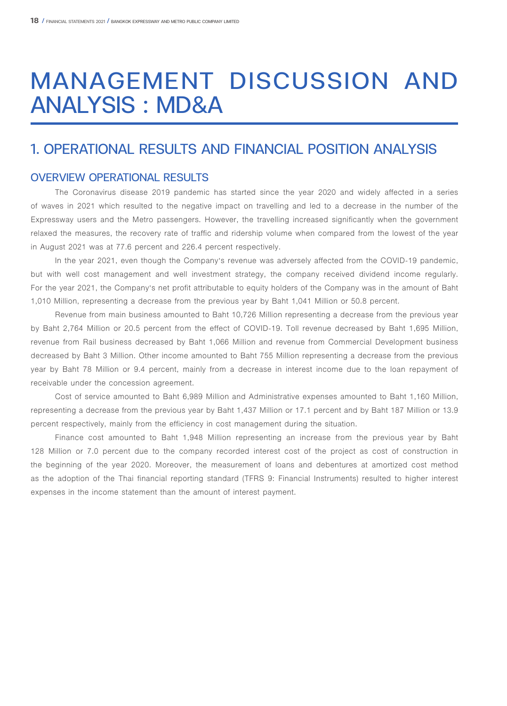## MANAGEMENT DISCUSSION AND ANALYSIS : MD&A

### 1. OPERATIONAL RESULTS AND FINANCIAL POSITION ANALYSIS

### OVERVIEW OPERATIONAL RESULTS

The Coronavirus disease 2019 pandemic has started since the year 2020 and widely affected in a series of waves in 2021 which resulted to the negative impact on travelling and led to a decrease in the number of the Expressway users and the Metro passengers. However, the travelling increased significantly when the government relaxed the measures, the recovery rate of traffic and ridership volume when compared from the lowest of the year in August 2021 was at 77.6 percent and 226.4 percent respectively.

In the year 2021, even though the Company's revenue was adversely affected from the COVID-19 pandemic, but with well cost management and well investment strategy, the company received dividend income regularly. For the year 2021, the Company's net profit attributable to equity holders of the Company was in the amount of Baht 1,010 Million, representing a decrease from the previous year by Baht 1,041 Million or 50.8 percent.

Revenue from main business amounted to Baht 10,726 Million representing a decrease from the previous year by Baht 2,764 Million or 20.5 percent from the effect of COVID-19. Toll revenue decreased by Baht 1,695 Million, revenue from Rail business decreased by Baht 1,066 Million and revenue from Commercial Development business decreased by Baht 3 Million. Other income amounted to Baht 755 Million representing a decrease from the previous year by Baht 78 Million or 9.4 percent, mainly from a decrease in interest income due to the loan repayment of receivable under the concession agreement.

Cost of service amounted to Baht 6,989 Million and Administrative expenses amounted to Baht 1,160 Million, representing a decrease from the previous year by Baht 1,437 Million or 17.1 percent and by Baht 187 Million or 13.9 percent respectively, mainly from the efficiency in cost management during the situation.

Finance cost amounted to Baht 1,948 Million representing an increase from the previous year by Baht 128 Million or 7.0 percent due to the company recorded interest cost of the project as cost of construction in the beginning of the year 2020. Moreover, the measurement of loans and debentures at amortized cost method as the adoption of the Thai financial reporting standard (TFRS 9: Financial Instruments) resulted to higher interest expenses in the income statement than the amount of interest payment.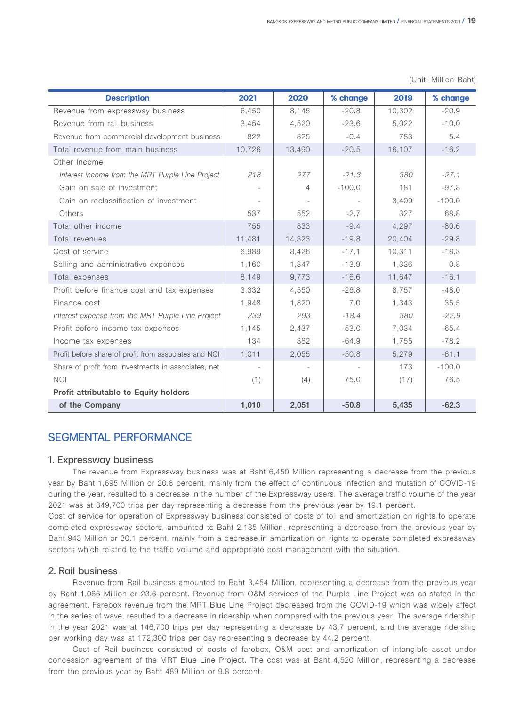| <b>Description</b>                                    | 2021   | 2020   | % change | 2019   | % change |
|-------------------------------------------------------|--------|--------|----------|--------|----------|
| Revenue from expressway business                      | 6,450  | 8,145  | $-20.8$  | 10,302 | $-20.9$  |
| Revenue from rail business                            | 3.454  | 4,520  | $-23.6$  | 5,022  | $-10.0$  |
| Revenue from commercial development business          | 822    | 825    | $-0.4$   | 783    | 5.4      |
| Total revenue from main business                      | 10,726 | 13,490 | $-20.5$  | 16,107 | $-16.2$  |
| Other Income                                          |        |        |          |        |          |
| Interest income from the MRT Purple Line Project      | 218    | 277    | $-21.3$  | 380    | $-27.1$  |
| Gain on sale of investment                            |        | 4      | $-100.0$ | 181    | $-97.8$  |
| Gain on reclassification of investment                |        |        |          | 3,409  | $-100.0$ |
| Others                                                | 537    | 552    | $-2.7$   | 327    | 68.8     |
| Total other income                                    | 755    | 833    | $-9.4$   | 4,297  | $-80.6$  |
| Total revenues                                        | 11,481 | 14,323 | $-19.8$  | 20,404 | $-29.8$  |
| Cost of service                                       | 6,989  | 8,426  | $-17.1$  | 10,311 | $-18.3$  |
| Selling and administrative expenses                   | 1,160  | 1,347  | $-13.9$  | 1,336  | 0.8      |
| Total expenses                                        | 8,149  | 9,773  | $-16.6$  | 11,647 | $-16.1$  |
| Profit before finance cost and tax expenses           | 3,332  | 4.550  | $-26.8$  | 8,757  | $-48.0$  |
| Finance cost                                          | 1.948  | 1,820  | 7.0      | 1.343  | 35.5     |
| Interest expense from the MRT Purple Line Project     | 239    | 293    | $-18.4$  | 380    | $-22.9$  |
| Profit before income tax expenses                     | 1,145  | 2,437  | $-53.0$  | 7,034  | $-65.4$  |
| Income tax expenses                                   | 134    | 382    | $-64.9$  | 1,755  | $-78.2$  |
| Profit before share of profit from associates and NCI | 1,011  | 2,055  | $-50.8$  | 5,279  | $-61.1$  |
| Share of profit from investments in associates, net   |        |        |          | 173    | $-100.0$ |
| <b>NCI</b>                                            | (1)    | (4)    | 75.0     | (17)   | 76.5     |
| Profit attributable to Equity holders                 |        |        |          |        |          |
| of the Company                                        | 1,010  | 2,051  | $-50.8$  | 5,435  | $-62.3$  |

(Unit: Million Baht)

### SEGMENTAL PERFORMANCE

#### 1. Expressway business

The revenue from Expressway business was at Baht 6,450 Million representing a decrease from the previous year by Baht 1,695 Million or 20.8 percent, mainly from the effect of continuous infection and mutation of COVID-19 during the year, resulted to a decrease in the number of the Expressway users. The average traffic volume of the year 2021 was at 849,700 trips per day representing a decrease from the previous year by 19.1 percent.

Cost of service for operation of Expressway business consisted of costs of toll and amortization on rights to operate completed expressway sectors, amounted to Baht 2,185 Million, representing a decrease from the previous year by Baht 943 Million or 30.1 percent, mainly from a decrease in amortization on rights to operate completed expressway sectors which related to the traffic volume and appropriate cost management with the situation.

#### 2. Rail business

Revenue from Rail business amounted to Baht 3,454 Million, representing a decrease from the previous year by Baht 1,066 Million or 23.6 percent. Revenue from O&M services of the Purple Line Project was as stated in the agreement. Farebox revenue from the MRT Blue Line Project decreased from the COVID-19 which was widely affect in the series of wave, resulted to a decrease in ridership when compared with the previous year. The average ridership in the year 2021 was at 146,700 trips per day representing a decrease by 43.7 percent, and the average ridership per working day was at 172,300 trips per day representing a decrease by 44.2 percent.

Cost of Rail business consisted of costs of farebox, O&M cost and amortization of intangible asset under concession agreement of the MRT Blue Line Project. The cost was at Baht 4,520 Million, representing a decrease from the previous year by Baht 489 Million or 9.8 percent.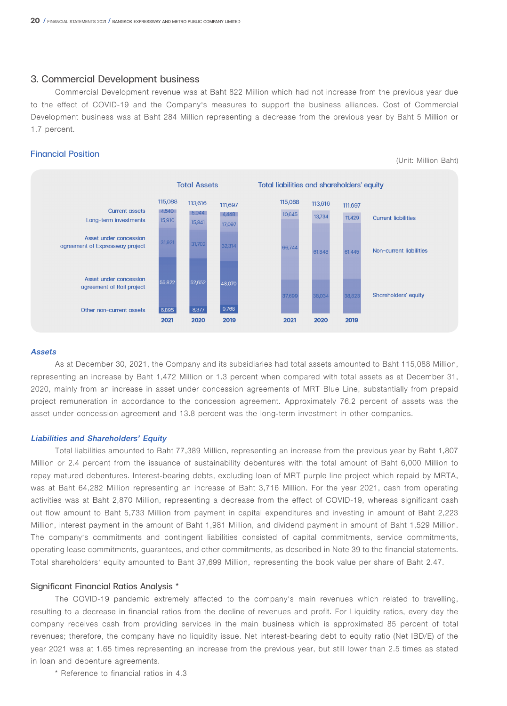#### 3. Commercial Development business

Commercial Development revenue was at Baht 822 Million which had not increase from the previous year due to the effect of COVID-19 and the Company's measures to support the business alliances. Cost of Commercial Development business was at Baht 284 Million representing a decrease from the previous year by Baht 5 Million or 1.7 percent.

(Unit: Million Baht)

#### Financial Position



**Assets**

As at December 30, 2021, the Company and its subsidiaries had total assets amounted to Baht 115,088 Million, representing an increase by Baht 1,472 Million or 1.3 percent when compared with total assets as at December 31, 2020, mainly from an increase in asset under concession agreements of MRT Blue Line, substantially from prepaid project remuneration in accordance to the concession agreement. Approximately 76.2 percent of assets was the asset under concession agreement and 13.8 percent was the long-term investment in other companies.

#### **Liabilities and Shareholders' Equity**

Total liabilities amounted to Baht 77,389 Million, representing an increase from the previous year by Baht 1,807 Million or 2.4 percent from the issuance of sustainability debentures with the total amount of Baht 6,000 Million to repay matured debentures. Interest-bearing debts, excluding loan of MRT purple line project which repaid by MRTA, was at Baht 64,282 Million representing an increase of Baht 3,716 Million. For the year 2021, cash from operating activities was at Baht 2,870 Million, representing a decrease from the effect of COVID-19, whereas significant cash out flow amount to Baht 5,733 Million from payment in capital expenditures and investing in amount of Baht 2,223 Million, interest payment in the amount of Baht 1,981 Million, and dividend payment in amount of Baht 1,529 Million. The company's commitments and contingent liabilities consisted of capital commitments, service commitments, operating lease commitments, guarantees, and other commitments, as described in Note 39 to the financial statements. Total shareholders' equity amounted to Baht 37,699 Million, representing the book value per share of Baht 2.47.

#### Significant Financial Ratios Analysis \*

The COVID-19 pandemic extremely affected to the company's main revenues which related to travelling, resulting to a decrease in financial ratios from the decline of revenues and profit. For Liquidity ratios, every day the company receives cash from providing services in the main business which is approximated 85 percent of total revenues; therefore, the company have no liquidity issue. Net interest-bearing debt to equity ratio (Net IBD/E) of the year 2021 was at 1.65 times representing an increase from the previous year, but still lower than 2.5 times as stated in loan and debenture agreements.

\* Reference to financial ratios in 4.3